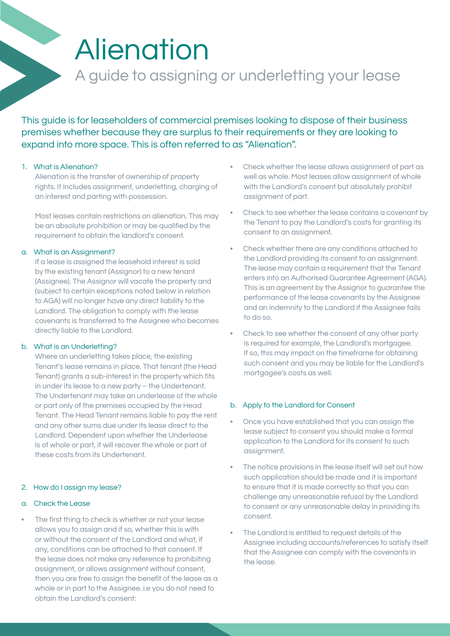# Alienation

# A guide to assigning or underletting your lease

This guide is for leaseholders of commercial premises looking to dispose of their business premises whether because they are surplus to their requirements or they are looking to expand into more space. This is often referred to as "Alienation".

## 1. What is Alienation?

Alienation is the transfer of ownership of property rights. It includes assignment, underletting, charging of an interest and parting with possession.

Most leases contain restrictions on alienation. This may be an absolute prohibition or may be qualified by the requirement to obtain the landlord's consent.

#### a. What is an Assignment?

If a lease is assigned the leasehold interest is sold by the existing tenant (Assignor) to a new tenant (Assignee). The Assignor will vacate the property and (subject to certain exceptions noted below in relation to AGA) will no longer have any direct liability to the Landlord. The obligation to comply with the lease covenants is transferred to the Assignee who becomes directly liable to the Landlord.

#### b. What is an Underletting?

Where an underletting takes place, the existing Tenant's lease remains in place. That tenant (the Head Tenant) grants a sub-interest in the property which fits in under its lease to a new party – the Undertenant. The Undertenant may take an underlease of the whole or part only of the premises occupied by the Head Tenant. The Head Tenant remains liable to pay the rent and any other sums due under its lease direct to the Landlord. Dependent upon whether the Underlease is of whole or part, it will recover the whole or part of these costs from its Undertenant.

#### 2. How do I assign my lease?

#### a. Check the Lease

The first thing to check is whether or not your lease allows you to assign and if so, whether this is with or without the consent of the Landlord and what, if any, conditions can be attached to that consent. If the lease does not make any reference to prohibiting assignment, or allows assignment without consent, then you are free to assign the benefit of the lease as a whole or in part to the Assignee. i.e you do not need to obtain the Landlord's consent:

- Check whether the lease allows assignment of part as well as whole. Most leases allow assignment of whole with the Landlord's consent but absolutely prohibit assignment of part.
- Check to see whether the lease contains a covenant by the Tenant to pay the Landlord's costs for granting its consent to an assignment.
- Check whether there are any conditions attached to the Landlord providing its consent to an assignment. The lease may contain a requirement that the Tenant enters into an Authorised Guarantee Agreement (AGA). This is an agreement by the Assignor to guarantee the performance of the lease covenants by the Assignee and an indemnity to the Landlord if the Assignee fails to do so.
- Check to see whether the consent of any other party is required for example, the Landlord's mortgagee. If so, this may impact on the timeframe for obtaining such consent and you may be liable for the Landlord's mortgagee's costs as well.

#### b. Apply to the Landlord for Consent

- Once you have established that you can assign the lease subject to consent you should make a formal application to the Landlord for its consent to such assignment.
- The notice provisions in the lease itself will set out how such application should be made and it is important to ensure that it is made correctly so that you can challenge any unreasonable refusal by the Landlord to consent or any unreasonable delay in providing its consent.
- The Landlord is entitled to request details of the Assignee including accounts/references to satisfy itself that the Assignee can comply with the covenants in the lease.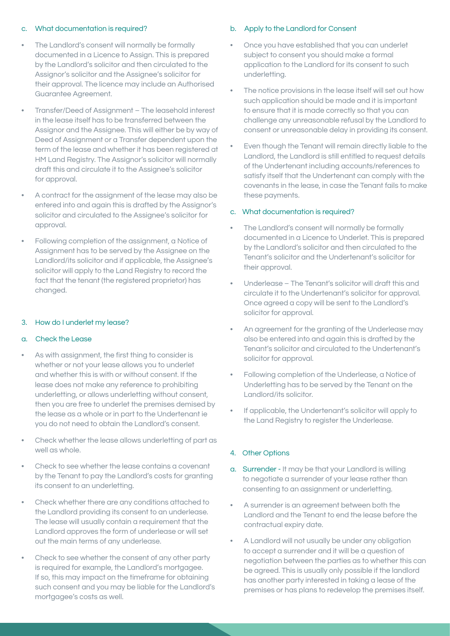## c. What documentation is required?

- The Landlord's consent will normally be formally documented in a Licence to Assign. This is prepared by the Landlord's solicitor and then circulated to the Assignor's solicitor and the Assignee's solicitor for their approval. The licence may include an Authorised Guarantee Agreement.
- Transfer/Deed of Assignment The leasehold interest in the lease itself has to be transferred between the Assignor and the Assignee. This will either be by way of Deed of Assignment or a Transfer dependent upon the term of the lease and whether it has been registered at HM Land Registry. The Assignor's solicitor will normally draft this and circulate it to the Assignee's solicitor for approval.
- A contract for the assignment of the lease may also be entered into and again this is drafted by the Assignor's solicitor and circulated to the Assignee's solicitor for approval.
- Following completion of the assignment, a Notice of Assignment has to be served by the Assignee on the Landlord/its solicitor and if applicable, the Assignee's solicitor will apply to the Land Registry to record the fact that the tenant (the registered proprietor) has changed.

#### 3. How do I underlet my lease?

#### a. Check the Lease

- As with assignment, the first thing to consider is whether or not your lease allows you to underlet and whether this is with or without consent. If the lease does not make any reference to prohibiting underletting, or allows underletting without consent, then you are free to underlet the premises demised by the lease as a whole or in part to the Undertenant ie you do not need to obtain the Landlord's consent.
- Check whether the lease allows underletting of part as well as whole.
- Check to see whether the lease contains a covenant by the Tenant to pay the Landlord's costs for granting its consent to an underletting.
- Check whether there are any conditions attached to the Landlord providing its consent to an underlease. The lease will usually contain a requirement that the Landlord approves the form of underlease or will set out the main terms of any underlease.
- Check to see whether the consent of any other party is required for example, the Landlord's mortgagee. If so, this may impact on the timeframe for obtaining such consent and you may be liable for the Landlord's mortgagee's costs as well.

#### b. Apply to the Landlord for Consent

- Once you have established that you can underlet subject to consent you should make a formal application to the Landlord for its consent to such underletting.
- The notice provisions in the lease itself will set out how such application should be made and it is important to ensure that it is made correctly so that you can challenge any unreasonable refusal by the Landlord to consent or unreasonable delay in providing its consent.
- Even though the Tenant will remain directly liable to the Landlord, the Landlord is still entitled to request details of the Undertenant including accounts/references to satisfy itself that the Undertenant can comply with the covenants in the lease, in case the Tenant fails to make these payments.

#### c. What documentation is required?

- The Landlord's consent will normally be formally documented in a Licence to Underlet. This is prepared by the Landlord's solicitor and then circulated to the Tenant's solicitor and the Undertenant's solicitor for their approval.
- Underlease The Tenant's solicitor will draft this and circulate it to the Undertenant's solicitor for approval. Once agreed a copy will be sent to the Landlord's solicitor for approval.
- An agreement for the granting of the Underlease may also be entered into and again this is drafted by the Tenant's solicitor and circulated to the Undertenant's solicitor for approval.
- Following completion of the Underlease, a Notice of Underletting has to be served by the Tenant on the Landlord/its solicitor.
- If applicable, the Undertenant's solicitor will apply to the Land Registry to register the Underlease.

#### 4. Other Options

- a. Surrender It may be that your Landlord is willing to negotiate a surrender of your lease rather than consenting to an assignment or underletting.
- A surrender is an agreement between both the Landlord and the Tenant to end the lease before the contractual expiry date.
- A Landlord will not usually be under any obligation to accept a surrender and it will be a question of negotiation between the parties as to whether this can be agreed. This is usually only possible if the landlord has another party interested in taking a lease of the premises or has plans to redevelop the premises itself.